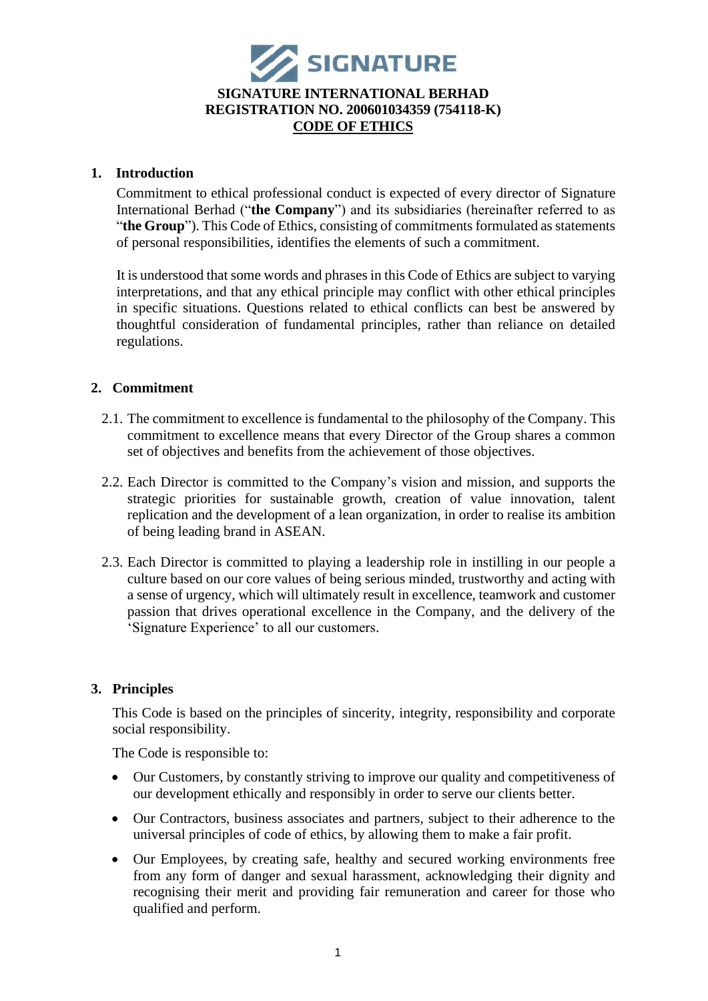

## **1. Introduction**

Commitment to ethical professional conduct is expected of every director of Signature International Berhad ("**the Company**") and its subsidiaries (hereinafter referred to as "**the Group**"). This Code of Ethics, consisting of commitments formulated as statements of personal responsibilities, identifies the elements of such a commitment.

It is understood that some words and phrases in this Code of Ethics are subject to varying interpretations, and that any ethical principle may conflict with other ethical principles in specific situations. Questions related to ethical conflicts can best be answered by thoughtful consideration of fundamental principles, rather than reliance on detailed regulations.

# **2. Commitment**

- 2.1. The commitment to excellence is fundamental to the philosophy of the Company. This commitment to excellence means that every Director of the Group shares a common set of objectives and benefits from the achievement of those objectives.
- 2.2. Each Director is committed to the Company's vision and mission, and supports the strategic priorities for sustainable growth, creation of value innovation, talent replication and the development of a lean organization, in order to realise its ambition of being leading brand in ASEAN.
- 2.3. Each Director is committed to playing a leadership role in instilling in our people a culture based on our core values of being serious minded, trustworthy and acting with a sense of urgency, which will ultimately result in excellence, teamwork and customer passion that drives operational excellence in the Company, and the delivery of the 'Signature Experience' to all our customers.

# **3. Principles**

This Code is based on the principles of sincerity, integrity, responsibility and corporate social responsibility.

The Code is responsible to:

- Our Customers, by constantly striving to improve our quality and competitiveness of our development ethically and responsibly in order to serve our clients better.
- Our Contractors, business associates and partners, subject to their adherence to the universal principles of code of ethics, by allowing them to make a fair profit.
- Our Employees, by creating safe, healthy and secured working environments free from any form of danger and sexual harassment, acknowledging their dignity and recognising their merit and providing fair remuneration and career for those who qualified and perform.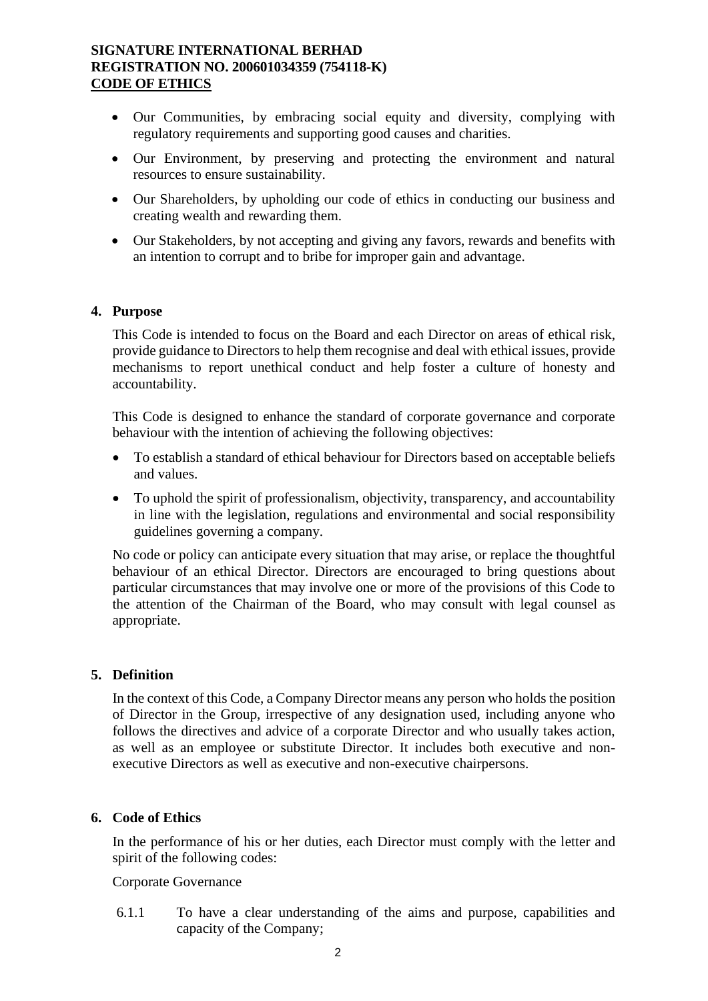## **SIGNATURE INTERNATIONAL BERHAD REGISTRATION NO. 200601034359 (754118-K) CODE OF ETHICS**

- Our Communities, by embracing social equity and diversity, complying with regulatory requirements and supporting good causes and charities.
- Our Environment, by preserving and protecting the environment and natural resources to ensure sustainability.
- Our Shareholders, by upholding our code of ethics in conducting our business and creating wealth and rewarding them.
- Our Stakeholders, by not accepting and giving any favors, rewards and benefits with an intention to corrupt and to bribe for improper gain and advantage.

### **4. Purpose**

This Code is intended to focus on the Board and each Director on areas of ethical risk, provide guidance to Directors to help them recognise and deal with ethical issues, provide mechanisms to report unethical conduct and help foster a culture of honesty and accountability.

This Code is designed to enhance the standard of corporate governance and corporate behaviour with the intention of achieving the following objectives:

- To establish a standard of ethical behaviour for Directors based on acceptable beliefs and values.
- To uphold the spirit of professionalism, objectivity, transparency, and accountability in line with the legislation, regulations and environmental and social responsibility guidelines governing a company.

No code or policy can anticipate every situation that may arise, or replace the thoughtful behaviour of an ethical Director. Directors are encouraged to bring questions about particular circumstances that may involve one or more of the provisions of this Code to the attention of the Chairman of the Board, who may consult with legal counsel as appropriate.

### **5. Definition**

In the context of this Code, a Company Director means any person who holds the position of Director in the Group, irrespective of any designation used, including anyone who follows the directives and advice of a corporate Director and who usually takes action, as well as an employee or substitute Director. It includes both executive and nonexecutive Directors as well as executive and non-executive chairpersons.

#### **6. Code of Ethics**

In the performance of his or her duties, each Director must comply with the letter and spirit of the following codes:

### Corporate Governance

6.1.1 To have a clear understanding of the aims and purpose, capabilities and capacity of the Company;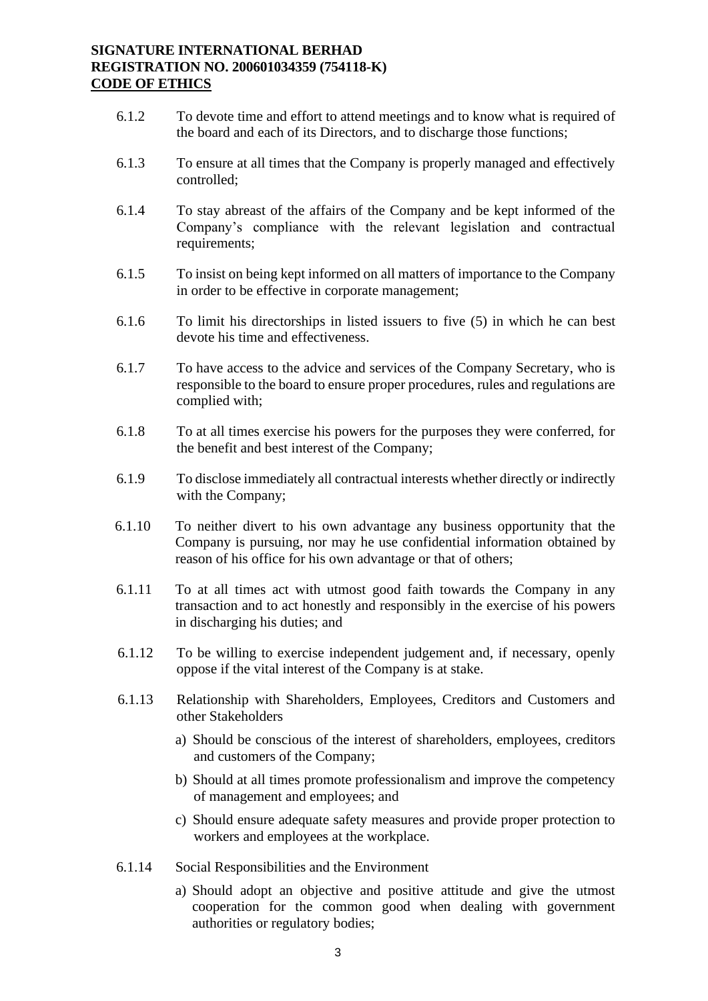### **SIGNATURE INTERNATIONAL BERHAD REGISTRATION NO. 200601034359 (754118-K) CODE OF ETHICS**

- 6.1.2 To devote time and effort to attend meetings and to know what is required of the board and each of its Directors, and to discharge those functions;
- 6.1.3 To ensure at all times that the Company is properly managed and effectively controlled;
- 6.1.4 To stay abreast of the affairs of the Company and be kept informed of the Company's compliance with the relevant legislation and contractual requirements;
- 6.1.5 To insist on being kept informed on all matters of importance to the Company in order to be effective in corporate management;
- 6.1.6 To limit his directorships in listed issuers to five (5) in which he can best devote his time and effectiveness.
- 6.1.7 To have access to the advice and services of the Company Secretary, who is responsible to the board to ensure proper procedures, rules and regulations are complied with;
- 6.1.8 To at all times exercise his powers for the purposes they were conferred, for the benefit and best interest of the Company;
- 6.1.9 To disclose immediately all contractual interests whether directly or indirectly with the Company;
- 6.1.10 To neither divert to his own advantage any business opportunity that the Company is pursuing, nor may he use confidential information obtained by reason of his office for his own advantage or that of others;
- 6.1.11 To at all times act with utmost good faith towards the Company in any transaction and to act honestly and responsibly in the exercise of his powers in discharging his duties; and
- 6.1.12 To be willing to exercise independent judgement and, if necessary, openly oppose if the vital interest of the Company is at stake.
- 6.1.13 Relationship with Shareholders, Employees, Creditors and Customers and other Stakeholders
	- a) Should be conscious of the interest of shareholders, employees, creditors and customers of the Company;
	- b) Should at all times promote professionalism and improve the competency of management and employees; and
	- c) Should ensure adequate safety measures and provide proper protection to workers and employees at the workplace.
- 6.1.14 Social Responsibilities and the Environment
	- a) Should adopt an objective and positive attitude and give the utmost cooperation for the common good when dealing with government authorities or regulatory bodies;